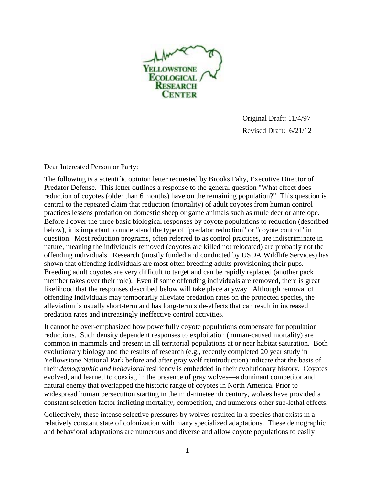

Original Draft: 11/4/97 Revised Draft: 6/21/12

Dear Interested Person or Party:

The following is a scientific opinion letter requested by Brooks Fahy, Executive Director of Predator Defense. This letter outlines a response to the general question "What effect does reduction of coyotes (older than 6 months) have on the remaining population?" This question is central to the repeated claim that reduction (mortality) of adult coyotes from human control practices lessens predation on domestic sheep or game animals such as mule deer or antelope. Before I cover the three basic biological responses by coyote populations to reduction (described below), it is important to understand the type of "predator reduction" or "coyote control" in question. Most reduction programs, often referred to as control practices, are indiscriminate in nature, meaning the individuals removed (coyotes are killed not relocated) are probably not the offending individuals. Research (mostly funded and conducted by USDA Wildlife Services) has shown that offending individuals are most often breeding adults provisioning their pups. Breeding adult coyotes are very difficult to target and can be rapidly replaced (another pack member takes over their role). Even if some offending individuals are removed, there is great likelihood that the responses described below will take place anyway. Although removal of offending individuals may temporarily alleviate predation rates on the protected species, the alleviation is usually short-term and has long-term side-effects that can result in increased predation rates and increasingly ineffective control activities.

It cannot be over-emphasized how powerfully coyote populations compensate for population reductions. Such density dependent responses to exploitation (human-caused mortality) are common in mammals and present in all territorial populations at or near habitat saturation. Both evolutionary biology and the results of research (e.g., recently completed 20 year study in Yellowstone National Park before and after gray wolf reintroduction) indicate that the basis of their *demographic and behavioral* resiliency is embedded in their evolutionary history. Coyotes evolved, and learned to coexist, in the presence of gray wolves—a dominant competitor and natural enemy that overlapped the historic range of coyotes in North America. Prior to widespread human persecution starting in the mid-nineteenth century, wolves have provided a constant selection factor inflicting mortality, competition, and numerous other sub-lethal effects.

Collectively, these intense selective pressures by wolves resulted in a species that exists in a relatively constant state of colonization with many specialized adaptations. These demographic and behavioral adaptations are numerous and diverse and allow coyote populations to easily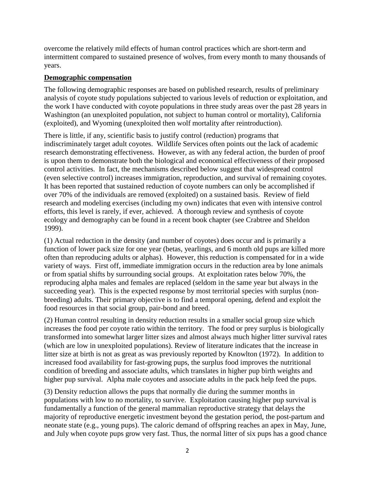overcome the relatively mild effects of human control practices which are short-term and intermittent compared to sustained presence of wolves, from every month to many thousands of years.

## **Demographic compensation**

The following demographic responses are based on published research, results of preliminary analysis of coyote study populations subjected to various levels of reduction or exploitation, and the work I have conducted with coyote populations in three study areas over the past 28 years in Washington (an unexploited population, not subject to human control or mortality), California (exploited), and Wyoming (unexploited then wolf mortality after reintroduction).

There is little, if any, scientific basis to justify control (reduction) programs that indiscriminately target adult coyotes. Wildlife Services often points out the lack of academic research demonstrating effectiveness. However, as with any federal action, the burden of proof is upon them to demonstrate both the biological and economical effectiveness of their proposed control activities. In fact, the mechanisms described below suggest that widespread control (even selective control) increases immigration, reproduction, and survival of remaining coyotes. It has been reported that sustained reduction of coyote numbers can only be accomplished if over 70% of the individuals are removed (exploited) on a sustained basis. Review of field research and modeling exercises (including my own) indicates that even with intensive control efforts, this level is rarely, if ever, achieved. A thorough review and synthesis of coyote ecology and demography can be found in a recent book chapter (see Crabtree and Sheldon 1999).

(1) Actual reduction in the density (and number of coyotes) does occur and is primarily a function of lower pack size for one year (betas, yearlings, and 6 month old pups are killed more often than reproducing adults or alphas). However, this reduction is compensated for in a wide variety of ways. First off, immediate immigration occurs in the reduction area by lone animals or from spatial shifts by surrounding social groups. At exploitation rates below 70%, the reproducing alpha males and females are replaced (seldom in the same year but always in the succeeding year). This is the expected response by most territorial species with surplus (nonbreeding) adults. Their primary objective is to find a temporal opening, defend and exploit the food resources in that social group, pair-bond and breed.

(2) Human control resulting in density reduction results in a smaller social group size which increases the food per coyote ratio within the territory. The food or prey surplus is biologically transformed into somewhat larger litter sizes and almost always much higher litter survival rates (which are low in unexploited populations). Review of literature indicates that the increase in litter size at birth is not as great as was previously reported by Knowlton (1972). In addition to increased food availability for fast-growing pups, the surplus food improves the nutritional condition of breeding and associate adults, which translates in higher pup birth weights and higher pup survival. Alpha male coyotes and associate adults in the pack help feed the pups.

(3) Density reduction allows the pups that normally die during the summer months in populations with low to no mortality, to survive. Exploitation causing higher pup survival is fundamentally a function of the general mammalian reproductive strategy that delays the majority of reproductive energetic investment beyond the gestation period, the post-partum and neonate state (e.g., young pups). The caloric demand of offspring reaches an apex in May, June, and July when coyote pups grow very fast. Thus, the normal litter of six pups has a good chance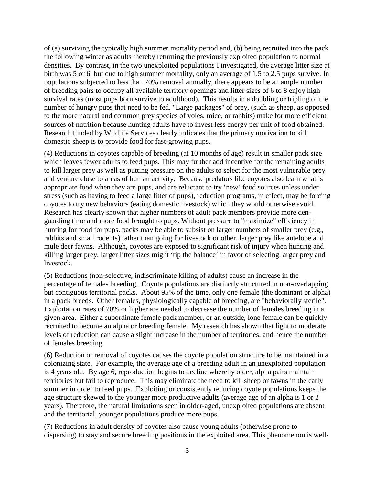of (a) surviving the typically high summer mortality period and, (b) being recruited into the pack the following winter as adults thereby returning the previously exploited population to normal densities. By contrast, in the two unexploited populations I investigated, the average litter size at birth was 5 or 6, but due to high summer mortality, only an average of 1.5 to 2.5 pups survive. In populations subjected to less than 70% removal annually, there appears to be an ample number of breeding pairs to occupy all available territory openings and litter sizes of 6 to 8 enjoy high survival rates (most pups born survive to adulthood). This results in a doubling or tripling of the number of hungry pups that need to be fed. "Large packages" of prey, (such as sheep, as opposed to the more natural and common prey species of voles, mice, or rabbits) make for more efficient sources of nutrition because hunting adults have to invest less energy per unit of food obtained. Research funded by Wildlife Services clearly indicates that the primary motivation to kill domestic sheep is to provide food for fast-growing pups.

(4) Reductions in coyotes capable of breeding (at 10 months of age) result in smaller pack size which leaves fewer adults to feed pups. This may further add incentive for the remaining adults to kill larger prey as well as putting pressure on the adults to select for the most vulnerable prey and venture close to areas of human activity. Because predators like coyotes also learn what is appropriate food when they are pups, and are reluctant to try 'new' food sources unless under stress (such as having to feed a large litter of pups), reduction programs, in effect, may be forcing coyotes to try new behaviors (eating domestic livestock) which they would otherwise avoid. Research has clearly shown that higher numbers of adult pack members provide more denguarding time and more food brought to pups. Without pressure to "maximize" efficiency in hunting for food for pups, packs may be able to subsist on larger numbers of smaller prey (e.g., rabbits and small rodents) rather than going for livestock or other, larger prey like antelope and mule deer fawns. Although, coyotes are exposed to significant risk of injury when hunting and killing larger prey, larger litter sizes might 'tip the balance' in favor of selecting larger prey and livestock.

(5) Reductions (non-selective, indiscriminate killing of adults) cause an increase in the percentage of females breeding. Coyote populations are distinctly structured in non-overlapping but contiguous territorial packs. About 95% of the time, only one female (the dominant or alpha) in a pack breeds. Other females, physiologically capable of breeding, are "behaviorally sterile". Exploitation rates of 70% or higher are needed to decrease the number of females breeding in a given area. Either a subordinate female pack member, or an outside, lone female can be quickly recruited to become an alpha or breeding female. My research has shown that light to moderate levels of reduction can cause a slight increase in the number of territories, and hence the number of females breeding.

(6) Reduction or removal of coyotes causes the coyote population structure to be maintained in a colonizing state. For example, the average age of a breeding adult in an unexploited population is 4 years old. By age 6, reproduction begins to decline whereby older, alpha pairs maintain territories but fail to reproduce. This may eliminate the need to kill sheep or fawns in the early summer in order to feed pups. Exploiting or consistently reducing coyote populations keeps the age structure skewed to the younger more productive adults (average age of an alpha is 1 or 2 years). Therefore, the natural limitations seen in older-aged, unexploited populations are absent and the territorial, younger populations produce more pups.

(7) Reductions in adult density of coyotes also cause young adults (otherwise prone to dispersing) to stay and secure breeding positions in the exploited area. This phenomenon is well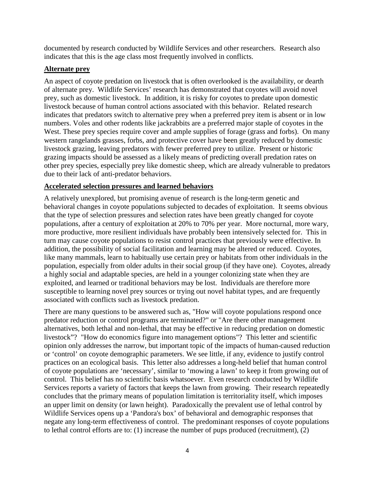documented by research conducted by Wildlife Services and other researchers. Research also indicates that this is the age class most frequently involved in conflicts.

## **Alternate prey**

An aspect of coyote predation on livestock that is often overlooked is the availability, or dearth of alternate prey. Wildlife Services' research has demonstrated that coyotes will avoid novel prey, such as domestic livestock. In addition, it is risky for coyotes to predate upon domestic livestock because of human control actions associated with this behavior. Related research indicates that predators switch to alternative prey when a preferred prey item is absent or in low numbers. Voles and other rodents like jackrabbits are a preferred major staple of coyotes in the West. These prey species require cover and ample supplies of forage (grass and forbs). On many western rangelands grasses, forbs, and protective cover have been greatly reduced by domestic livestock grazing, leaving predators with fewer preferred prey to utilize. Present or historic grazing impacts should be assessed as a likely means of predicting overall predation rates on other prey species, especially prey like domestic sheep, which are already vulnerable to predators due to their lack of anti-predator behaviors.

## **Accelerated selection pressures and learned behaviors**

A relatively unexplored, but promising avenue of research is the long-term genetic and behavioral changes in coyote populations subjected to decades of exploitation. It seems obvious that the type of selection pressures and selection rates have been greatly changed for coyote populations, after a century of exploitation at 20% to 70% per year. More nocturnal, more wary, more productive, more resilient individuals have probably been intensively selected for. This in turn may cause coyote populations to resist control practices that previously were effective. In addition, the possibility of social facilitation and learning may be altered or reduced. Coyotes, like many mammals, learn to habitually use certain prey or habitats from other individuals in the population, especially from older adults in their social group (if they have one). Coyotes, already a highly social and adaptable species, are held in a younger colonizing state when they are exploited, and learned or traditional behaviors may be lost. Individuals are therefore more susceptible to learning novel prey sources or trying out novel habitat types, and are frequently associated with conflicts such as livestock predation.

There are many questions to be answered such as, "How will coyote populations respond once predator reduction or control programs are terminated?" or "Are there other management alternatives, both lethal and non-lethal, that may be effective in reducing predation on domestic livestock"? "How do economics figure into management options"? This letter and scientific opinion only addresses the narrow, but important topic of the impacts of human-caused reduction or 'control' on coyote demographic parameters. We see little, if any, evidence to justify control practices on an ecological basis. This letter also addresses a long-held belief that human control of coyote populations are 'necessary', similar to 'mowing a lawn' to keep it from growing out of control. This belief has no scientific basis whatsoever. Even research conducted by Wildlife Services reports a variety of factors that keeps the lawn from growing. Their research repeatedly concludes that the primary means of population limitation is territoriality itself, which imposes an upper limit on density (or lawn height). Paradoxically the prevalent use of lethal control by Wildlife Services opens up a 'Pandora's box' of behavioral and demographic responses that negate any long-term effectiveness of control. The predominant responses of coyote populations to lethal control efforts are to: (1) increase the number of pups produced (recruitment), (2)